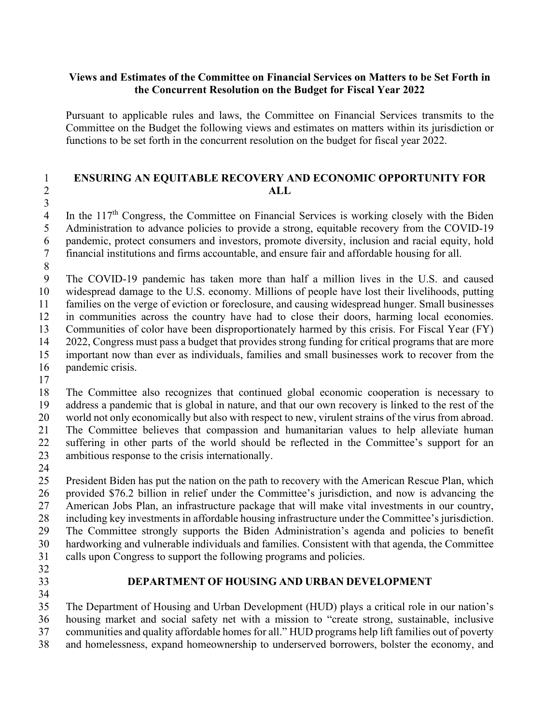#### **Views and Estimates of the Committee on Financial Services on Matters to be Set Forth in the Concurrent Resolution on the Budget for Fiscal Year 2022**

Pursuant to applicable rules and laws, the Committee on Financial Services transmits to the Committee on the Budget the following views and estimates on matters within its jurisdiction or functions to be set forth in the concurrent resolution on the budget for fiscal year 2022.

#### **ENSURING AN EQUITABLE RECOVERY AND ECONOMIC OPPORTUNITY FOR ALL**

In the  $117<sup>th</sup>$  Congress, the Committee on Financial Services is working closely with the Biden<br>5 Administration to advance policies to provide a strong, equitable recovery from the COVID-19 Administration to advance policies to provide a strong, equitable recovery from the COVID-19 pandemic, protect consumers and investors, promote diversity, inclusion and racial equity, hold financial institutions and firms accountable, and ensure fair and affordable housing for all.

 The COVID-19 pandemic has taken more than half a million lives in the U.S. and caused widespread damage to the U.S. economy. Millions of people have lost their livelihoods, putting families on the verge of eviction or foreclosure, and causing widespread hunger. Small businesses in communities across the country have had to close their doors, harming local economies. Communities of color have been disproportionately harmed by this crisis. For Fiscal Year (FY) 2022, Congress must pass a budget that provides strong funding for critical programs that are more 15 important now than ever as individuals, families and small businesses work to recover from the pandemic crisis. pandemic crisis.

 The Committee also recognizes that continued global economic cooperation is necessary to address a pandemic that is global in nature, and that our own recovery is linked to the rest of the world not only economically but also with respect to new, virulent strains of the virus from abroad. The Committee believes that compassion and humanitarian values to help alleviate human suffering in other parts of the world should be reflected in the Committee's support for an ambitious response to the crisis internationally.

 President Biden has put the nation on the path to recovery with the American Rescue Plan, which provided \$76.2 billion in relief under the Committee's jurisdiction, and now is advancing the American Jobs Plan, an infrastructure package that will make vital investments in our country, including key investments in affordable housing infrastructure under the Committee's jurisdiction. The Committee strongly supports the Biden Administration's agenda and policies to benefit hardworking and vulnerable individuals and families. Consistent with that agenda, the Committee calls upon Congress to support the following programs and policies.

- 
- 

# **DEPARTMENT OF HOUSING AND URBAN DEVELOPMENT**

 The Department of Housing and Urban Development (HUD) plays a critical role in our nation's housing market and social safety net with a mission to "create strong, sustainable, inclusive

communities and quality affordable homes for all." HUD programs help lift families out of poverty

and homelessness, expand homeownership to underserved borrowers, bolster the economy, and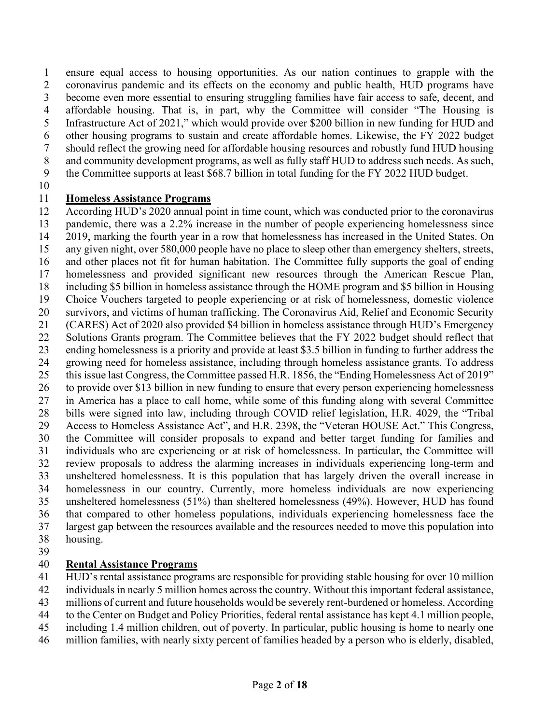ensure equal access to housing opportunities. As our nation continues to grapple with the coronavirus pandemic and its effects on the economy and public health, HUD programs have become even more essential to ensuring struggling families have fair access to safe, decent, and affordable housing. That is, in part, why the Committee will consider "The Housing is Infrastructure Act of 2021," which would provide over \$200 billion in new funding for HUD and other housing programs to sustain and create affordable homes. Likewise, the FY 2022 budget

- should reflect the growing need for affordable housing resources and robustly fund HUD housing
- and community development programs, as well as fully staff HUD to address such needs. As such, the Committee supports at least \$68.7 billion in total funding for the FY 2022 HUD budget.
- 

# **Homeless Assistance Programs**

 According HUD's 2020 annual point in time count, which was conducted prior to the coronavirus pandemic, there was a 2.2% increase in the number of people experiencing homelessness since 2019, marking the fourth year in a row that homelessness has increased in the United States. On any given night, over 580,000 people have no place to sleep other than emergency shelters, streets, and other places not fit for human habitation. The Committee fully supports the goal of ending homelessness and provided significant new resources through the American Rescue Plan, including \$5 billion in homeless assistance through the HOME program and \$5 billion in Housing Choice Vouchers targeted to people experiencing or at risk of homelessness, domestic violence survivors, and victims of human trafficking. The Coronavirus Aid, Relief and Economic Security (CARES) Act of 2020 also provided \$4 billion in homeless assistance through HUD's Emergency 22 Solutions Grants program. The Committee believes that the FY 2022 budget should reflect that ending homelessness is a priority and provide at least \$3.5 billion in funding to further address the growing need for homeless assistance, including through homeless assistance grants. To address this issue last Congress, the Committee passed H.R. 1856, the "Ending Homelessness Act of 2019" to provide over \$13 billion in new funding to ensure that every person experiencing homelessness in America has a place to call home, while some of this funding along with several Committee bills were signed into law, including through COVID relief legislation, H.R. 4029, the "Tribal Access to Homeless Assistance Act", and H.R. 2398, the "Veteran HOUSE Act." This Congress, the Committee will consider proposals to expand and better target funding for families and individuals who are experiencing or at risk of homelessness. In particular, the Committee will review proposals to address the alarming increases in individuals experiencing long-term and unsheltered homelessness. It is this population that has largely driven the overall increase in homelessness in our country. Currently, more homeless individuals are now experiencing unsheltered homelessness (51%) than sheltered homelessness (49%). However, HUD has found that compared to other homeless populations, individuals experiencing homelessness face the largest gap between the resources available and the resources needed to move this population into housing.

# **Rental Assistance Programs**

HUD's rental assistance programs are responsible for providing stable housing for over 10 million

- individuals in nearly 5 million homes across the country. Without this important federal assistance,
- millions of current and future households would be severely rent-burdened or homeless. According
- to the Center on Budget and Policy Priorities, federal rental assistance has kept 4.1 million people,
- including 1.4 million children, out of poverty. In particular, public housing is home to nearly one
- million families, with nearly sixty percent of families headed by a person who is elderly, disabled,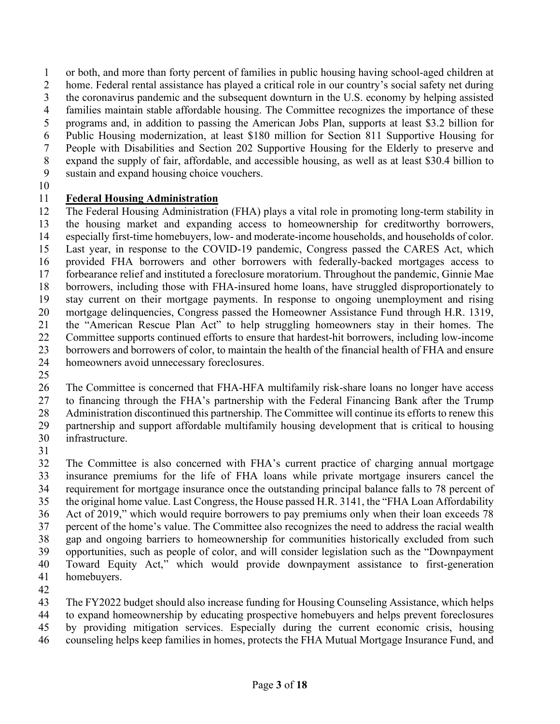or both, and more than forty percent of families in public housing having school-aged children at

home. Federal rental assistance has played a critical role in our country's social safety net during

the coronavirus pandemic and the subsequent downturn in the U.S. economy by helping assisted

families maintain stable affordable housing. The Committee recognizes the importance of these

- programs and, in addition to passing the American Jobs Plan, supports at least \$3.2 billion for
- Public Housing modernization, at least \$180 million for Section 811 Supportive Housing for People with Disabilities and Section 202 Supportive Housing for the Elderly to preserve and
- expand the supply of fair, affordable, and accessible housing, as well as at least \$30.4 billion to
- sustain and expand housing choice vouchers.
- 

# **Federal Housing Administration**

 The Federal Housing Administration (FHA) plays a vital role in promoting long-term stability in the housing market and expanding access to homeownership for creditworthy borrowers, especially first-time homebuyers, low- and moderate-income households, and households of color. Last year, in response to the COVID-19 pandemic, Congress passed the CARES Act, which provided FHA borrowers and other borrowers with federally-backed mortgages access to forbearance relief and instituted a foreclosure moratorium. Throughout the pandemic, Ginnie Mae borrowers, including those with FHA-insured home loans, have struggled disproportionately to stay current on their mortgage payments. In response to ongoing unemployment and rising mortgage delinquencies, Congress passed the Homeowner Assistance Fund through H.R. 1319, the "American Rescue Plan Act" to help struggling homeowners stay in their homes. The Committee supports continued efforts to ensure that hardest-hit borrowers, including low-income borrowers and borrowers of color, to maintain the health of the financial health of FHA and ensure homeowners avoid unnecessary foreclosures.

 The Committee is concerned that FHA-HFA multifamily risk-share loans no longer have access to financing through the FHA's partnership with the Federal Financing Bank after the Trump Administration discontinued this partnership. The Committee will continue its efforts to renew this partnership and support affordable multifamily housing development that is critical to housing infrastructure.

 The Committee is also concerned with FHA's current practice of charging annual mortgage insurance premiums for the life of FHA loans while private mortgage insurers cancel the requirement for mortgage insurance once the outstanding principal balance falls to 78 percent of the original home value. Last Congress, the House passed H.R. 3141, the "FHA Loan Affordability Act of 2019," which would require borrowers to pay premiums only when their loan exceeds 78 percent of the home's value. The Committee also recognizes the need to address the racial wealth gap and ongoing barriers to homeownership for communities historically excluded from such opportunities, such as people of color, and will consider legislation such as the "Downpayment Toward Equity Act," which would provide downpayment assistance to first-generation homebuyers.

The FY2022 budget should also increase funding for Housing Counseling Assistance, which helps

to expand homeownership by educating prospective homebuyers and helps prevent foreclosures

- by providing mitigation services. Especially during the current economic crisis, housing
- counseling helps keep families in homes, protects the FHA Mutual Mortgage Insurance Fund, and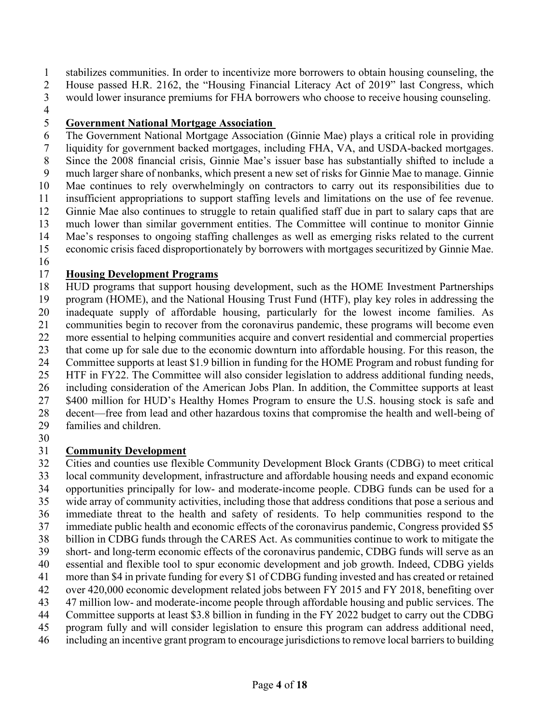stabilizes communities. In order to incentivize more borrowers to obtain housing counseling, the House passed H.R. 2162, the "Housing Financial Literacy Act of 2019" last Congress, which

- would lower insurance premiums for FHA borrowers who choose to receive housing counseling.
- 

# **Government National Mortgage Association**

 The Government National Mortgage Association (Ginnie Mae) plays a critical role in providing liquidity for government backed mortgages, including FHA, VA, and USDA-backed mortgages. Since the 2008 financial crisis, Ginnie Mae's issuer base has substantially shifted to include a much larger share of nonbanks, which present a new set of risks for Ginnie Mae to manage. Ginnie Mae continues to rely overwhelmingly on contractors to carry out its responsibilities due to insufficient appropriations to support staffing levels and limitations on the use of fee revenue. Ginnie Mae also continues to struggle to retain qualified staff due in part to salary caps that are much lower than similar government entities. The Committee will continue to monitor Ginnie Mae's responses to ongoing staffing challenges as well as emerging risks related to the current economic crisis faced disproportionately by borrowers with mortgages securitized by Ginnie Mae.

# **Housing Development Programs**

 HUD programs that support housing development, such as the HOME Investment Partnerships program (HOME), and the National Housing Trust Fund (HTF), play key roles in addressing the inadequate supply of affordable housing, particularly for the lowest income families. As communities begin to recover from the coronavirus pandemic, these programs will become even more essential to helping communities acquire and convert residential and commercial properties that come up for sale due to the economic downturn into affordable housing. For this reason, the Committee supports at least \$1.9 billion in funding for the HOME Program and robust funding for HTF in FY22. The Committee will also consider legislation to address additional funding needs, including consideration of the American Jobs Plan. In addition, the Committee supports at least \$400 million for HUD's Healthy Homes Program to ensure the U.S. housing stock is safe and decent—free from lead and other hazardous toxins that compromise the health and well-being of families and children.

# **Community Development**

 Cities and counties use flexible Community Development Block Grants (CDBG) to meet critical local community development, infrastructure and affordable housing needs and expand economic opportunities principally for low- and moderate-income people. CDBG funds can be used for a wide array of community activities, including those that address conditions that pose a serious and

- immediate threat to the health and safety of residents. To help communities respond to the
- immediate public health and economic effects of the coronavirus pandemic, Congress provided \$5
- billion in CDBG funds through the CARES Act. As communities continue to work to mitigate the short- and long-term economic effects of the coronavirus pandemic, CDBG funds will serve as an
- essential and flexible tool to spur economic development and job growth. Indeed, CDBG yields
- more than \$4 in private funding for every \$1 of CDBG funding invested and has created or retained
- over 420,000 economic development related jobs between FY 2015 and FY 2018, benefiting over
- 47 million low- and moderate-income people through affordable housing and public services. The
- Committee supports at least \$3.8 billion in funding in the FY 2022 budget to carry out the CDBG
- program fully and will consider legislation to ensure this program can address additional need,
- including an incentive grant program to encourage jurisdictionsto remove local barriersto building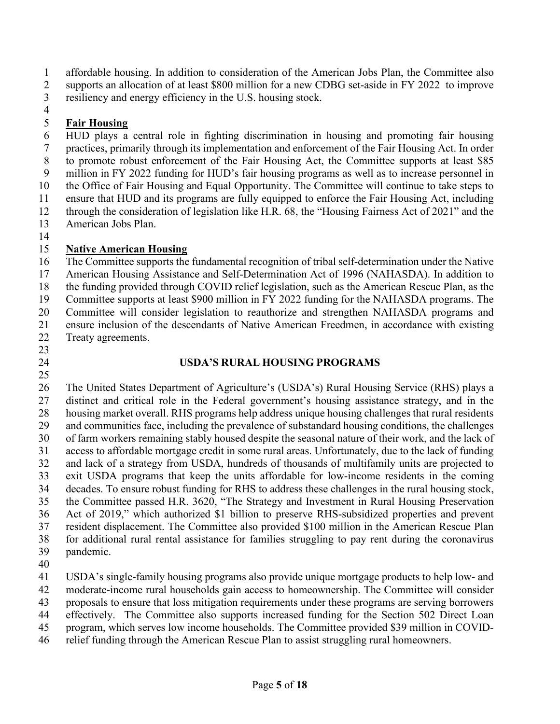affordable housing. In addition to consideration of the American Jobs Plan, the Committee also supports an allocation of at least \$800 million for a new CDBG set-aside in FY 2022 to improve

- resiliency and energy efficiency in the U.S. housing stock.
- 

# **Fair Housing**

 HUD plays a central role in fighting discrimination in housing and promoting fair housing practices, primarily through its implementation and enforcement of the Fair Housing Act. In order to promote robust enforcement of the Fair Housing Act, the Committee supports at least \$85 million in FY 2022 funding for HUD's fair housing programs as well as to increase personnel in the Office of Fair Housing and Equal Opportunity. The Committee will continue to take steps to ensure that HUD and its programs are fully equipped to enforce the Fair Housing Act, including through the consideration of legislation like H.R. 68, the "Housing Fairness Act of 2021" and the American Jobs Plan.

# **Native American Housing**

 The Committee supports the fundamental recognition of tribal self-determination under the Native American Housing Assistance and Self-Determination Act of 1996 (NAHASDA). In addition to the funding provided through COVID relief legislation, such as the American Rescue Plan, as the Committee supports at least \$900 million in FY 2022 funding for the NAHASDA programs. The Committee will consider legislation to reauthorize and strengthen NAHASDA programs and ensure inclusion of the descendants of Native American Freedmen, in accordance with existing Treaty agreements.  $\frac{23}{24}$ 

### **USDA'S RURAL HOUSING PROGRAMS**

 The United States Department of Agriculture's (USDA's) Rural Housing Service (RHS) plays a distinct and critical role in the Federal government's housing assistance strategy, and in the housing market overall. RHS programs help address unique housing challenges that rural residents and communities face, including the prevalence of substandard housing conditions, the challenges of farm workers remaining stably housed despite the seasonal nature of their work, and the lack of access to affordable mortgage credit in some rural areas. Unfortunately, due to the lack of funding and lack of a strategy from USDA, hundreds of thousands of multifamily units are projected to exit USDA programs that keep the units affordable for low-income residents in the coming decades. To ensure robust funding for RHS to address these challenges in the rural housing stock, the Committee passed H.R. 3620, "The Strategy and Investment in Rural Housing Preservation Act of 2019," which authorized \$1 billion to preserve RHS-subsidized properties and prevent resident displacement. The Committee also provided \$100 million in the American Rescue Plan for additional rural rental assistance for families struggling to pay rent during the coronavirus pandemic.

USDA's single-family housing programs also provide unique mortgage products to help low- and

moderate-income rural households gain access to homeownership. The Committee will consider

proposals to ensure that loss mitigation requirements under these programs are serving borrowers

effectively. The Committee also supports increased funding for the Section 502 Direct Loan

program, which serves low income households. The Committee provided \$39 million in COVID-

relief funding through the American Rescue Plan to assist struggling rural homeowners.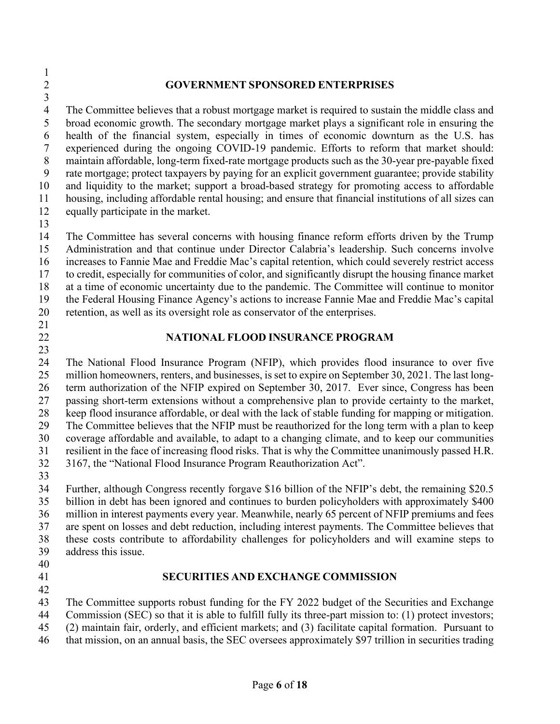## **GOVERNMENT SPONSORED ENTERPRISES**

 The Committee believes that a robust mortgage market is required to sustain the middle class and broad economic growth. The secondary mortgage market plays a significant role in ensuring the health of the financial system, especially in times of economic downturn as the U.S. has experienced during the ongoing COVID-19 pandemic. Efforts to reform that market should: maintain affordable, long-term fixed-rate mortgage products such as the 30-year pre-payable fixed rate mortgage; protect taxpayers by paying for an explicit government guarantee; provide stability and liquidity to the market; support a broad-based strategy for promoting access to affordable housing, including affordable rental housing; and ensure that financial institutions of all sizes can equally participate in the market.

 The Committee has several concerns with housing finance reform efforts driven by the Trump Administration and that continue under Director Calabria's leadership. Such concerns involve increases to Fannie Mae and Freddie Mac's capital retention, which could severely restrict access to credit, especially for communities of color, and significantly disrupt the housing finance market at a time of economic uncertainty due to the pandemic. The Committee will continue to monitor the Federal Housing Finance Agency's actions to increase Fannie Mae and Freddie Mac's capital retention, as well as its oversight role as conservator of the enterprises.

- 
- 

#### **NATIONAL FLOOD INSURANCE PROGRAM**

 The National Flood Insurance Program (NFIP), which provides flood insurance to over five million homeowners, renters, and businesses, is set to expire on September 30, 2021. The last long- term authorization of the NFIP expired on September 30, 2017. Ever since, Congress has been passing short-term extensions without a comprehensive plan to provide certainty to the market, keep flood insurance affordable, or deal with the lack of stable funding for mapping or mitigation. The Committee believes that the NFIP must be reauthorized for the long term with a plan to keep coverage affordable and available, to adapt to a changing climate, and to keep our communities resilient in the face of increasing flood risks. That is why the Committee unanimously passed H.R. 3167, the "National Flood Insurance Program Reauthorization Act".

 Further, although Congress recently forgave \$16 billion of the NFIP's debt, the remaining \$20.5 billion in debt has been ignored and continues to burden policyholders with approximately \$400 million in interest payments every year. Meanwhile, nearly 65 percent of NFIP premiums and fees are spent on losses and debt reduction, including interest payments. The Committee believes that these costs contribute to affordability challenges for policyholders and will examine steps to address this issue.

- 
- 

#### **SECURITIES AND EXCHANGE COMMISSION**

 The Committee supports robust funding for the FY 2022 budget of the Securities and Exchange

Commission (SEC) so that it is able to fulfill fully its three-part mission to: (1) protect investors;

(2) maintain fair, orderly, and efficient markets; and (3) facilitate capital formation. Pursuant to

that mission, on an annual basis, the SEC oversees approximately \$97 trillion in securities trading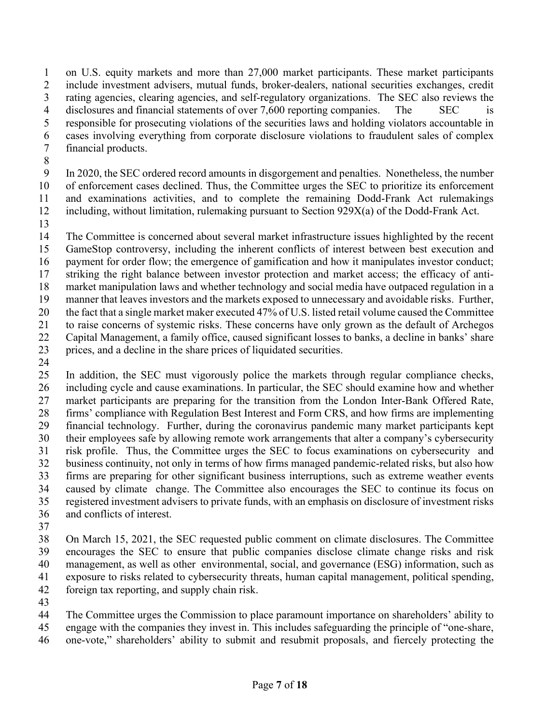on U.S. equity markets and more than 27,000 market participants. These market participants include investment advisers, mutual funds, broker-dealers, national securities exchanges, credit rating agencies, clearing agencies, and self-regulatory organizations. The SEC also reviews the 4 disclosures and financial statements of over 7,600 reporting companies. The SEC is responsible for prosecuting violations of the securities laws and holding violators accountable in cases involving everything from corporate disclosure violations to fraudulent sales of complex financial products.

 In 2020, the SEC ordered record amounts in disgorgement and penalties. Nonetheless, the number of enforcement cases declined. Thus, the Committee urges the SEC to prioritize its enforcement and examinations activities, and to complete the remaining Dodd-Frank Act rulemakings including, without limitation, rulemaking pursuant to Section 929X(a) of the Dodd-Frank Act.

 The Committee is concerned about several market infrastructure issues highlighted by the recent GameStop controversy, including the inherent conflicts of interest between best execution and payment for order flow; the emergence of gamification and how it manipulates investor conduct; striking the right balance between investor protection and market access; the efficacy of anti- market manipulation laws and whether technology and social media have outpaced regulation in a manner that leaves investors and the markets exposed to unnecessary and avoidable risks. Further, the fact that a single market maker executed 47% of U.S. listed retail volume caused the Committee to raise concerns of systemic risks. These concerns have only grown as the default of Archegos Capital Management, a family office, caused significant losses to banks, a decline in banks' share prices, and a decline in the share prices of liquidated securities.

 In addition, the SEC must vigorously police the markets through regular compliance checks, including cycle and cause examinations. In particular, the SEC should examine how and whether market participants are preparing for the transition from the London Inter-Bank Offered Rate, firms' compliance with Regulation Best Interest and Form CRS, and how firms are implementing financial technology. Further, during the coronavirus pandemic many market participants kept their employees safe by allowing remote work arrangements that alter a company's cybersecurity risk profile. Thus, the Committee urges the SEC to focus examinations on cybersecurity and business continuity, not only in terms of how firms managed pandemic-related risks, but also how firms are preparing for other significant business interruptions, such as extreme weather events caused by climate change. The Committee also encourages the SEC to continue its focus on registered investment advisers to private funds, with an emphasis on disclosure of investment risks and conflicts of interest.

 On March 15, 2021, the SEC requested public comment on climate disclosures. The Committee encourages the SEC to ensure that public companies disclose climate change risks and risk management, as well as other environmental, social, and governance (ESG) information, such as exposure to risks related to cybersecurity threats, human capital management, political spending, foreign tax reporting, and supply chain risk.

 The Committee urges the Commission to place paramount importance on shareholders' ability to engage with the companies they invest in. This includes safeguarding the principle of "one-share,

one-vote," shareholders' ability to submit and resubmit proposals, and fiercely protecting the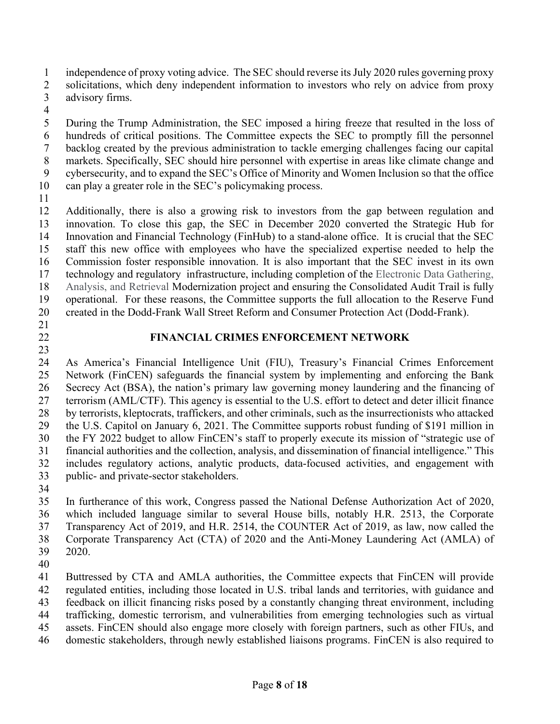independence of proxy voting advice. The SEC should reverse its July 2020 rules governing proxy

- 2 solicitations, which deny independent information to investors who rely on advice from proxy advisory firms.
- 

 During the Trump Administration, the SEC imposed a hiring freeze that resulted in the loss of hundreds of critical positions. The Committee expects the SEC to promptly fill the personnel backlog created by the previous administration to tackle emerging challenges facing our capital markets. Specifically, SEC should hire personnel with expertise in areas like climate change and cybersecurity, and to expand the SEC's Office of Minority and Women Inclusion so that the office can play a greater role in the SEC's policymaking process.

 Additionally, there is also a growing risk to investors from the gap between regulation and innovation. To close this gap, the SEC in December 2020 converted the Strategic Hub for Innovation and Financial Technology (FinHub) to a stand-alone office. It is crucial that the SEC staff this new office with employees who have the specialized expertise needed to help the Commission foster responsible innovation. It is also important that the SEC invest in its own technology and regulatory infrastructure, including completion of the Electronic Data Gathering, Analysis, and Retrieval Modernization project and ensuring the Consolidated Audit Trail is fully operational. For these reasons, the Committee supports the full allocation to the Reserve Fund created in the Dodd-Frank Wall Street Reform and Consumer Protection Act (Dodd-Frank).

# 

# **FINANCIAL CRIMES ENFORCEMENT NETWORK**

 As America's Financial Intelligence Unit (FIU), Treasury's Financial Crimes Enforcement Network (FinCEN) safeguards the financial system by implementing and enforcing the Bank Secrecy Act (BSA), the nation's primary law governing money laundering and the financing of terrorism (AML/CTF). This agency is essential to the U.S. effort to detect and deter illicit finance by terrorists, kleptocrats, traffickers, and other criminals, such as the insurrectionists who attacked the U.S. Capitol on January 6, 2021. The Committee supports robust funding of \$191 million in the FY 2022 budget to allow FinCEN's staff to properly execute its mission of "strategic use of financial authorities and the collection, analysis, and dissemination of financial intelligence." This includes regulatory actions, analytic products, data-focused activities, and engagement with public- and private-sector stakeholders.

 In furtherance of this work, Congress passed the National Defense Authorization Act of 2020, which included language similar to several House bills, notably H.R. 2513, the Corporate Transparency Act of 2019, and H.R. 2514, the COUNTER Act of 2019, as law, now called the Corporate Transparency Act (CTA) of 2020 and the Anti-Money Laundering Act (AMLA) of 2020.

Buttressed by CTA and AMLA authorities, the Committee expects that FinCEN will provide

regulated entities, including those located in U.S. tribal lands and territories, with guidance and

feedback on illicit financing risks posed by a constantly changing threat environment, including

trafficking, domestic terrorism, and vulnerabilities from emerging technologies such as virtual

- assets. FinCEN should also engage more closely with foreign partners, such as other FIUs, and
- domestic stakeholders, through newly established liaisons programs. FinCEN is also required to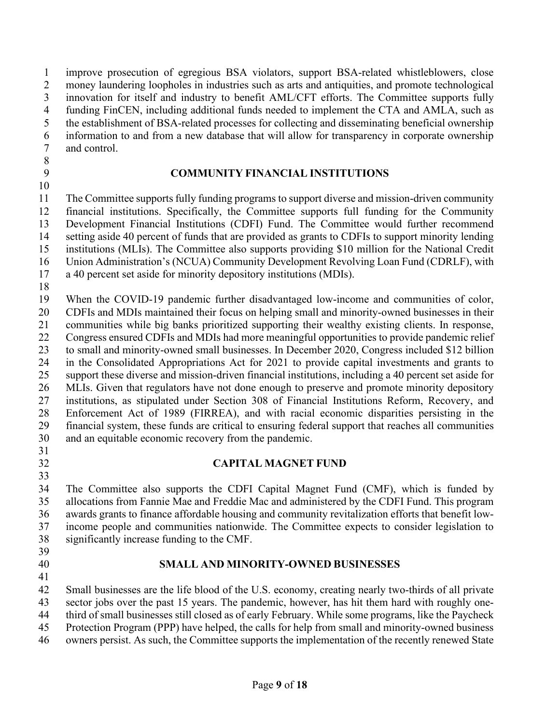improve prosecution of egregious BSA violators, support BSA-related whistleblowers, close money laundering loopholes in industries such as arts and antiquities, and promote technological innovation for itself and industry to benefit AML/CFT efforts. The Committee supports fully funding FinCEN, including additional funds needed to implement the CTA and AMLA, such as the establishment of BSA-related processes for collecting and disseminating beneficial ownership information to and from a new database that will allow for transparency in corporate ownership and control.

- 
- 

## **COMMUNITY FINANCIAL INSTITUTIONS**

 The Committee supportsfully funding programs to support diverse and mission-driven community financial institutions. Specifically, the Committee supports full funding for the Community Development Financial Institutions (CDFI) Fund. The Committee would further recommend setting aside 40 percent of funds that are provided as grants to CDFIs to support minority lending institutions (MLIs). The Committee also supports providing \$10 million for the National Credit Union Administration's (NCUA) Community Development Revolving Loan Fund (CDRLF), with

- a 40 percent set aside for minority depository institutions (MDIs).
- 

When the COVID-19 pandemic further disadvantaged low-income and communities of color,

- CDFIs and MDIs maintained their focus on helping small and minority-owned businesses in their communities while big banks prioritized supporting their wealthy existing clients. In response,
- Congress ensured CDFIs and MDIs had more meaningful opportunities to provide pandemic relief

 to small and minority-owned small businesses. In December 2020, Congress included \$12 billion in the Consolidated Appropriations Act for 2021 to provide capital investments and grants to support these diverse and mission-driven financial institutions, including a 40 percent set aside for

26 MLIs. Given that regulators have not done enough to preserve and promote minority depository institutions, as stipulated under Section 308 of Financial Institutions Reform, Recovery, and Enforcement Act of 1989 (FIRREA), and with racial economic disparities persisting in the financial system, these funds are critical to ensuring federal support that reaches all communities and an equitable economic recovery from the pandemic.

- 
- $\frac{31}{32}$

# **CAPITAL MAGNET FUND**

 The Committee also supports the CDFI Capital Magnet Fund (CMF), which is funded by allocations from Fannie Mae and Freddie Mac and administered by the CDFI Fund. This program awards grants to finance affordable housing and community revitalization efforts that benefit low- income people and communities nationwide. The Committee expects to consider legislation to significantly increase funding to the CMF.

- 
- 

#### **SMALL AND MINORITY-OWNED BUSINESSES**

 Small businesses are the life blood of the U.S. economy, creating nearly two-thirds of all private sector jobs over the past 15 years. The pandemic, however, has hit them hard with roughly one-

third of small businesses still closed as of early February. While some programs, like the Paycheck

Protection Program (PPP) have helped, the calls for help from small and minority-owned business

owners persist. As such, the Committee supports the implementation of the recently renewed State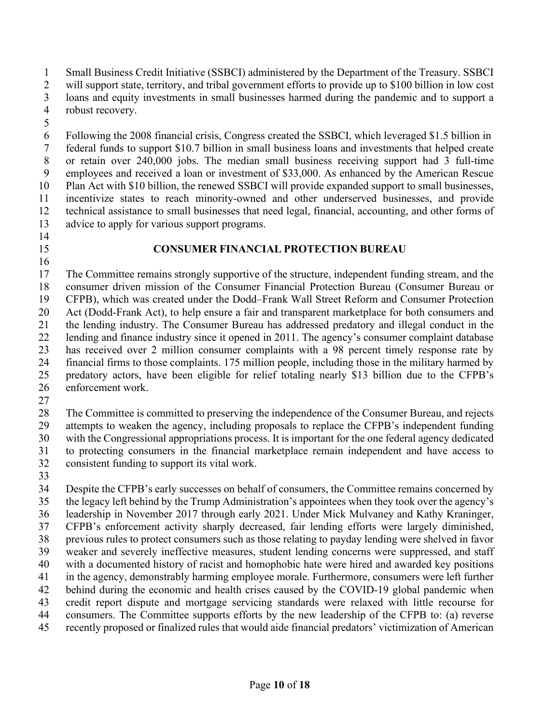Small Business Credit Initiative (SSBCI) administered by the Department of the Treasury. SSBCI will support state, territory, and tribal government efforts to provide up to \$100 billion in low cost

loans and equity investments in small businesses harmed during the pandemic and to support a

- robust recovery.
- 

 Following the 2008 financial crisis, Congress created the SSBCI, which leveraged \$1.5 billion in federal funds to support \$10.7 billion in small business loans and investments that helped create or retain over 240,000 jobs. The median small business receiving support had 3 full-time employees and received a loan or investment of \$33,000. As enhanced by the American Rescue Plan Act with \$10 billion, the renewed SSBCI will provide expanded support to small businesses, incentivize states to reach minority-owned and other underserved businesses, and provide technical assistance to small businesses that need legal, financial, accounting, and other forms of advice to apply for various support programs.

- 
- 

#### **CONSUMER FINANCIAL PROTECTION BUREAU**

 The Committee remains strongly supportive of the structure, independent funding stream, and the consumer driven mission of the Consumer Financial Protection Bureau (Consumer Bureau or CFPB), which was created under the Dodd–Frank Wall Street Reform and Consumer Protection Act (Dodd-Frank Act), to help ensure a fair and transparent marketplace for both consumers and the lending industry. The Consumer Bureau has addressed predatory and illegal conduct in the lending and finance industry since it opened in 2011. The agency's consumer complaint database has received over 2 million consumer complaints with a 98 percent timely response rate by financial firms to those complaints. 175 million people, including those in the military harmed by predatory actors, have been eligible for relief totaling nearly \$13 billion due to the CFPB's enforcement work.

 The Committee is committed to preserving the independence of the Consumer Bureau, and rejects attempts to weaken the agency, including proposals to replace the CFPB's independent funding with the Congressional appropriations process. It is important for the one federal agency dedicated to protecting consumers in the financial marketplace remain independent and have access to consistent funding to support its vital work.

 Despite the CFPB's early successes on behalf of consumers, the Committee remains concerned by the legacy left behind by the Trump Administration's appointees when they took over the agency's leadership in November 2017 through early 2021. Under Mick Mulvaney and Kathy Kraninger, CFPB's enforcement activity sharply decreased, fair lending efforts were largely diminished, previous rules to protect consumers such as those relating to payday lending were shelved in favor weaker and severely ineffective measures, student lending concerns were suppressed, and staff with a documented history of racist and homophobic hate were hired and awarded key positions in the agency, demonstrably harming employee morale. Furthermore, consumers were left further behind during the economic and health crises caused by the COVID-19 global pandemic when credit report dispute and mortgage servicing standards were relaxed with little recourse for consumers. The Committee supports efforts by the new leadership of the CFPB to: (a) reverse recently proposed or finalized rules that would aide financial predators' victimization of American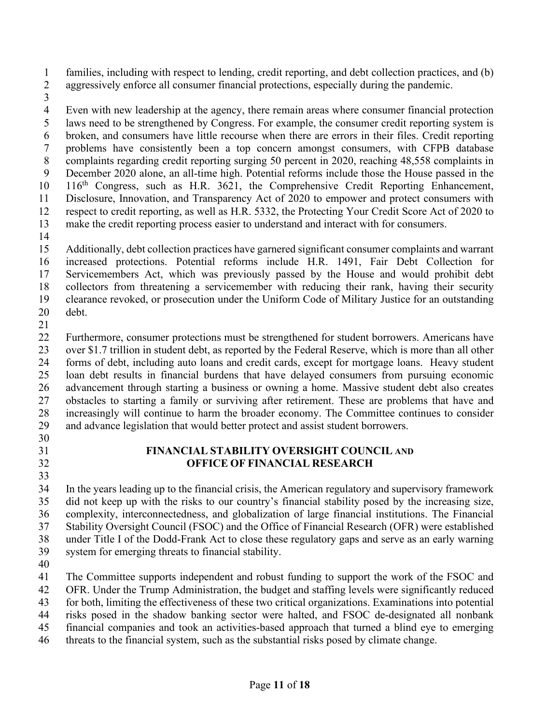families, including with respect to lending, credit reporting, and debt collection practices, and (b) aggressively enforce all consumer financial protections, especially during the pandemic.

 Even with new leadership at the agency, there remain areas where consumer financial protection laws need to be strengthened by Congress. For example, the consumer credit reporting system is broken, and consumers have little recourse when there are errors in their files. Credit reporting problems have consistently been a top concern amongst consumers, with CFPB database complaints regarding credit reporting surging 50 percent in 2020, reaching 48,558 complaints in December 2020 alone, an all-time high. Potential reforms include those the House passed in the  $10 \quad 116$ <sup>th</sup> Congress, such as H.R. 3621, the Comprehensive Credit Reporting Enhancement, Disclosure, Innovation, and Transparency Act of 2020 to empower and protect consumers with respect to credit reporting, as well as H.R. 5332, the Protecting Your Credit Score Act of 2020 to make the credit reporting process easier to understand and interact with for consumers.

 Additionally, debt collection practices have garnered significant consumer complaints and warrant increased protections. Potential reforms include H.R. 1491, Fair Debt Collection for Servicemembers Act, which was previously passed by the House and would prohibit debt collectors from threatening a servicemember with reducing their rank, having their security clearance revoked, or prosecution under the Uniform Code of Military Justice for an outstanding debt.

 Furthermore, consumer protections must be strengthened for student borrowers. Americans have over \$1.7 trillion in student debt, as reported by the Federal Reserve, which is more than all other forms of debt, including auto loans and credit cards, except for mortgage loans. Heavy student loan debt results in financial burdens that have delayed consumers from pursuing economic advancement through starting a business or owning a home. Massive student debt also creates obstacles to starting a family or surviving after retirement. These are problems that have and increasingly will continue to harm the broader economy. The Committee continues to consider and advance legislation that would better protect and assist student borrowers.

- 
- 

### **FINANCIAL STABILITY OVERSIGHT COUNCIL AND OFFICE OF FINANCIAL RESEARCH**

 In the years leading up to the financial crisis, the American regulatory and supervisory framework did not keep up with the risks to our country's financial stability posed by the increasing size, complexity, interconnectedness, and globalization of large financial institutions. The Financial Stability Oversight Council (FSOC) and the Office of Financial Research (OFR) were established under Title I of the Dodd-Frank Act to close these regulatory gaps and serve as an early warning system for emerging threats to financial stability.

 The Committee supports independent and robust funding to support the work of the FSOC and OFR. Under the Trump Administration, the budget and staffing levels were significantly reduced for both, limiting the effectiveness of these two critical organizations. Examinations into potential

risks posed in the shadow banking sector were halted, and FSOC de-designated all nonbank

financial companies and took an activities-based approach that turned a blind eye to emerging

threats to the financial system, such as the substantial risks posed by climate change.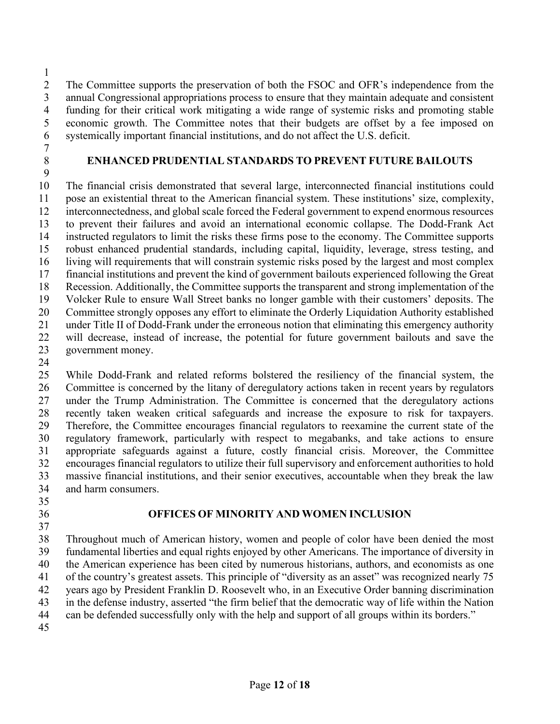The Committee supports the preservation of both the FSOC and OFR's independence from the annual Congressional appropriations process to ensure that they maintain adequate and consistent funding for their critical work mitigating a wide range of systemic risks and promoting stable economic growth. The Committee notes that their budgets are offset by a fee imposed on systemically important financial institutions, and do not affect the U.S. deficit.

- 
- 

### 

# **ENHANCED PRUDENTIAL STANDARDS TO PREVENT FUTURE BAILOUTS**

 The financial crisis demonstrated that several large, interconnected financial institutions could pose an existential threat to the American financial system. These institutions' size, complexity, interconnectedness, and global scale forced the Federal government to expend enormous resources to prevent their failures and avoid an international economic collapse. The Dodd-Frank Act instructed regulators to limit the risks these firms pose to the economy. The Committee supports robust enhanced prudential standards, including capital, liquidity, leverage, stress testing, and living will requirements that will constrain systemic risks posed by the largest and most complex financial institutions and prevent the kind of government bailouts experienced following the Great Recession. Additionally, the Committee supports the transparent and strong implementation of the Volcker Rule to ensure Wall Street banks no longer gamble with their customers' deposits. The Committee strongly opposes any effort to eliminate the Orderly Liquidation Authority established under Title II of Dodd-Frank under the erroneous notion that eliminating this emergency authority will decrease, instead of increase, the potential for future government bailouts and save the government money.

 While Dodd-Frank and related reforms bolstered the resiliency of the financial system, the Committee is concerned by the litany of deregulatory actions taken in recent years by regulators under the Trump Administration. The Committee is concerned that the deregulatory actions recently taken weaken critical safeguards and increase the exposure to risk for taxpayers. Therefore, the Committee encourages financial regulators to reexamine the current state of the regulatory framework, particularly with respect to megabanks, and take actions to ensure appropriate safeguards against a future, costly financial crisis. Moreover, the Committee encourages financial regulators to utilize their full supervisory and enforcement authorities to hold massive financial institutions, and their senior executives, accountable when they break the law and harm consumers.

- 
- 
- 

# **OFFICES OF MINORITY AND WOMEN INCLUSION**

 Throughout much of American history, women and people of color have been denied the most fundamental liberties and equal rights enjoyed by other Americans. The importance of diversity in the American experience has been cited by numerous historians, authors, and economists as one of the country's greatest assets. This principle of "diversity as an asset" was recognized nearly 75 years ago by President Franklin D. Roosevelt who, in an Executive Order banning discrimination in the defense industry, asserted "the firm belief that the democratic way of life within the Nation can be defended successfully only with the help and support of all groups within its borders."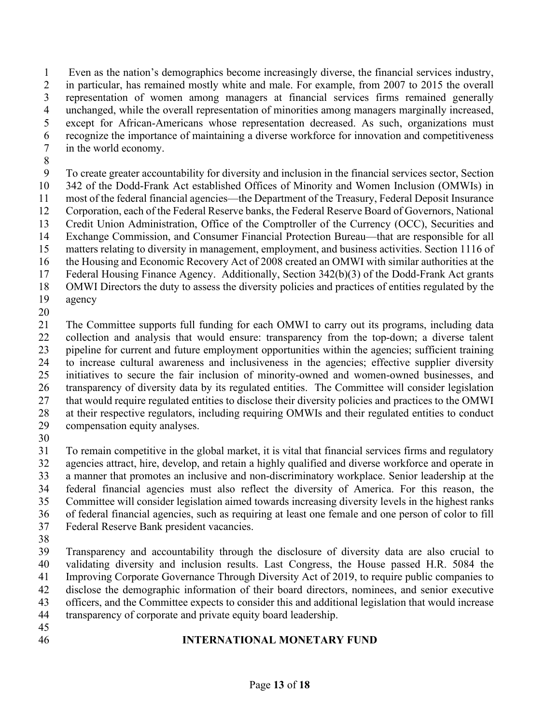Even as the nation's demographics become increasingly diverse, the financial services industry, in particular, has remained mostly white and male. For example, from 2007 to 2015 the overall representation of women among managers at financial services firms remained generally unchanged, while the overall representation of minorities among managers marginally increased, except for African-Americans whose representation decreased. As such, organizations must recognize the importance of maintaining a diverse workforce for innovation and competitiveness in the world economy.

 To create greater accountability for diversity and inclusion in the financial services sector, Section 342 of the Dodd-Frank Act established Offices of Minority and Women Inclusion (OMWIs) in most of the federal financial agencies—the Department of the Treasury, Federal Deposit Insurance Corporation, each of the Federal Reserve banks, the Federal Reserve Board of Governors, National Credit Union Administration, Office of the Comptroller of the Currency (OCC), Securities and Exchange Commission, and Consumer Financial Protection Bureau—that are responsible for all matters relating to diversity in management, employment, and business activities. Section 1116 of the Housing and Economic Recovery Act of 2008 created an OMWI with similar authorities at the Federal Housing Finance Agency. Additionally, Section 342(b)(3) of the Dodd-Frank Act grants OMWI Directors the duty to assess the diversity policies and practices of entities regulated by the agency

 The Committee supports full funding for each OMWI to carry out its programs, including data collection and analysis that would ensure: transparency from the top-down; a diverse talent pipeline for current and future employment opportunities within the agencies; sufficient training to increase cultural awareness and inclusiveness in the agencies; effective supplier diversity initiatives to secure the fair inclusion of minority-owned and women-owned businesses, and transparency of diversity data by its regulated entities. The Committee will consider legislation that would require regulated entities to disclose their diversity policies and practices to the OMWI at their respective regulators, including requiring OMWIs and their regulated entities to conduct compensation equity analyses.

 To remain competitive in the global market, it is vital that financial services firms and regulatory agencies attract, hire, develop, and retain a highly qualified and diverse workforce and operate in a manner that promotes an inclusive and non-discriminatory workplace. Senior leadership at the federal financial agencies must also reflect the diversity of America. For this reason, the Committee will consider legislation aimed towards increasing diversity levels in the highest ranks of federal financial agencies, such as requiring at least one female and one person of color to fill Federal Reserve Bank president vacancies.

 Transparency and accountability through the disclosure of diversity data are also crucial to validating diversity and inclusion results. Last Congress, the House passed H.R. 5084 the Improving Corporate Governance Through Diversity Act of 2019, to require public companies to disclose the demographic information of their board directors, nominees, and senior executive officers, and the Committee expects to consider this and additional legislation that would increase transparency of corporate and private equity board leadership.

- 
- 

# **INTERNATIONAL MONETARY FUND**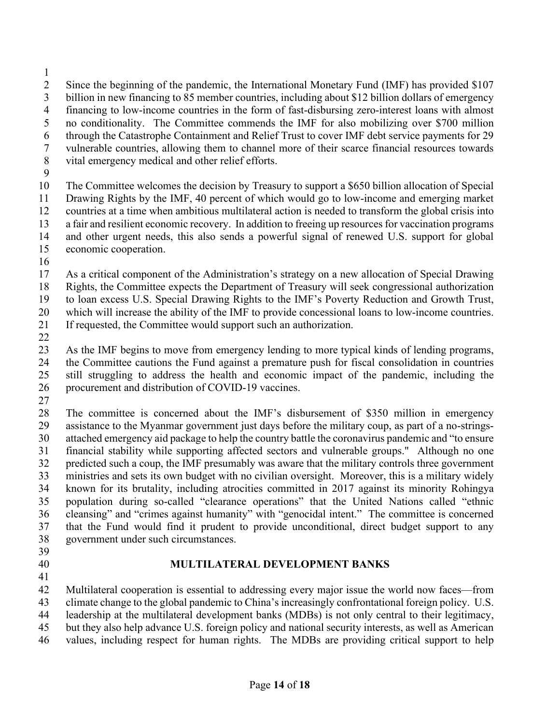- 
- Since the beginning of the pandemic, the International Monetary Fund (IMF) has provided \$107 billion in new financing to 85 member countries, including about \$12 billion dollars of emergency financing to low-income countries in the form of fast-disbursing zero-interest loans with almost no conditionality. The Committee commends the IMF for also mobilizing over \$700 million through the Catastrophe Containment and Relief Trust to cover IMF debt service payments for 29 vulnerable countries, allowing them to channel more of their scarce financial resources towards
- vital emergency medical and other relief efforts.
- 

 The Committee welcomes the decision by Treasury to support a \$650 billion allocation of Special Drawing Rights by the IMF, 40 percent of which would go to low-income and emerging market countries at a time when ambitious multilateral action is needed to transform the global crisis into 13 a fair and resilient economic recovery. In addition to freeing up resources for vaccination programs and other urgent needs, this also sends a powerful signal of renewed U.S. support for global economic cooperation.

 As a critical component of the Administration's strategy on a new allocation of Special Drawing Rights, the Committee expects the Department of Treasury will seek congressional authorization

to loan excess U.S. Special Drawing Rights to the IMF's Poverty Reduction and Growth Trust,

 which will increase the ability of the IMF to provide concessional loans to low-income countries. If requested, the Committee would support such an authorization.

 As the IMF begins to move from emergency lending to more typical kinds of lending programs, the Committee cautions the Fund against a premature push for fiscal consolidation in countries still struggling to address the health and economic impact of the pandemic, including the procurement and distribution of COVID-19 vaccines.

 The committee is concerned about the IMF's disbursement of \$350 million in emergency assistance to the Myanmar government just days before the military coup, as part of a no-strings- attached emergency aid package to help the country battle the coronavirus pandemic and "to ensure financial stability while supporting affected sectors and vulnerable groups." Although no one predicted such a coup, the IMF presumably was aware that the military controls three government ministries and sets its own budget with no civilian oversight. Moreover, this is a military widely known for its brutality, including atrocities committed in 2017 against its minority Rohingya population during so-called "clearance operations" that the United Nations called "ethnic cleansing" and "crimes against humanity" with "genocidal intent." The committee is concerned that the Fund would find it prudent to provide unconditional, direct budget support to any government under such circumstances.

- 
- 

# **MULTILATERAL DEVELOPMENT BANKS**

Multilateral cooperation is essential to addressing every major issue the world now faces—from

climate change to the global pandemic to China's increasingly confrontational foreign policy. U.S.

leadership at the multilateral development banks (MDBs) is not only central to their legitimacy,

 but they also help advance U.S. foreign policy and national security interests, as well as American values, including respect for human rights. The MDBs are providing critical support to help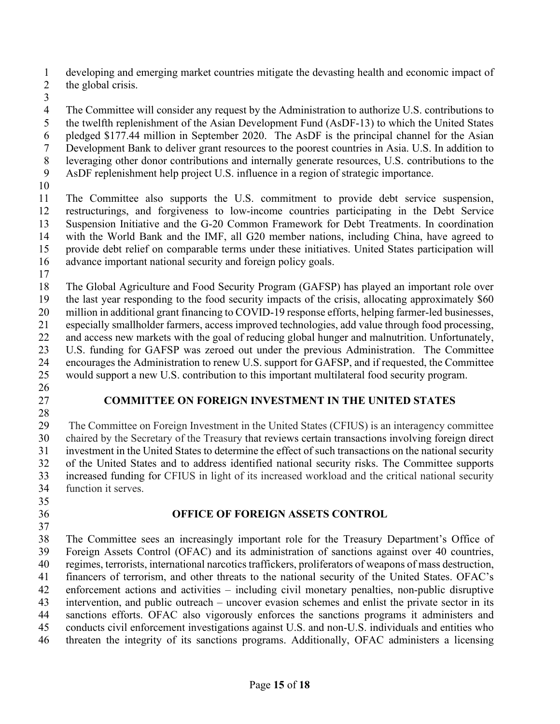developing and emerging market countries mitigate the devasting health and economic impact of

- 2 the global crisis.
- 

 The Committee will consider any request by the Administration to authorize U.S. contributions to the twelfth replenishment of the Asian Development Fund (AsDF-13) to which the United States pledged \$177.44 million in September 2020. The AsDF is the principal channel for the Asian Development Bank to deliver grant resources to the poorest countries in Asia. U.S. In addition to leveraging other donor contributions and internally generate resources, U.S. contributions to the AsDF replenishment help project U.S. influence in a region of strategic importance.

 The Committee also supports the U.S. commitment to provide debt service suspension, restructurings, and forgiveness to low-income countries participating in the Debt Service Suspension Initiative and the G-20 Common Framework for Debt Treatments. In coordination with the World Bank and the IMF, all G20 member nations, including China, have agreed to provide debt relief on comparable terms under these initiatives. United States participation will advance important national security and foreign policy goals.

 The Global Agriculture and Food Security Program (GAFSP) has played an important role over the last year responding to the food security impacts of the crisis, allocating approximately \$60 million in additional grant financing to COVID-19 response efforts, helping farmer-led businesses, especially smallholder farmers, access improved technologies, add value through food processing, and access new markets with the goal of reducing global hunger and malnutrition. Unfortunately, U.S. funding for GAFSP was zeroed out under the previous Administration. The Committee encourages the Administration to renew U.S. support for GAFSP, and if requested, the Committee would support a new U.S. contribution to this important multilateral food security program.

- 
- 

# **COMMITTEE ON FOREIGN INVESTMENT IN THE UNITED STATES**

 The Committee on Foreign Investment in the United States (CFIUS) is an interagency committee chaired by the Secretary of the Treasury that reviews certain transactions involving foreign direct investment in the United States to determine the effect of such transactions on the national security of the United States and to address identified national security risks. The Committee supports increased funding for CFIUS in light of its increased workload and the critical national security function it serves.

# **OFFICE OF FOREIGN ASSETS CONTROL**

 The Committee sees an increasingly important role for the Treasury Department's Office of Foreign Assets Control (OFAC) and its administration of sanctions against over 40 countries, regimes, terrorists, international narcotics traffickers, proliferators of weapons of mass destruction, financers of terrorism, and other threats to the national security of the United States. OFAC's enforcement actions and activities – including civil monetary penalties, non-public disruptive intervention, and public outreach – uncover evasion schemes and enlist the private sector in its sanctions efforts. OFAC also vigorously enforces the sanctions programs it administers and conducts civil enforcement investigations against U.S. and non-U.S. individuals and entities who threaten the integrity of its sanctions programs. Additionally, OFAC administers a licensing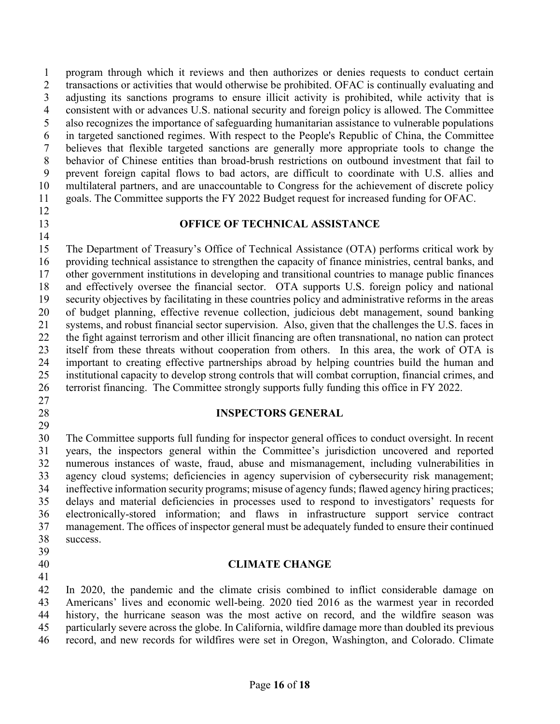program through which it reviews and then authorizes or denies requests to conduct certain 2 transactions or activities that would otherwise be prohibited. OFAC is continually evaluating and adjusting its sanctions programs to ensure illicit activity is prohibited, while activity that is consistent with or advances U.S. national security and foreign policy is allowed. The Committee also recognizes the importance of safeguarding humanitarian assistance to vulnerable populations in targeted sanctioned regimes. With respect to the People's Republic of China, the Committee believes that flexible targeted sanctions are generally more appropriate tools to change the behavior of Chinese entities than broad-brush restrictions on outbound investment that fail to prevent foreign capital flows to bad actors, are difficult to coordinate with U.S. allies and multilateral partners, and are unaccountable to Congress for the achievement of discrete policy goals. The Committee supports the FY 2022 Budget request for increased funding for OFAC.

#### **OFFICE OF TECHNICAL ASSISTANCE**

 The Department of Treasury's Office of Technical Assistance (OTA) performs critical work by providing technical assistance to strengthen the capacity of finance ministries, central banks, and other government institutions in developing and transitional countries to manage public finances and effectively oversee the financial sector. OTA supports U.S. foreign policy and national security objectives by facilitating in these countries policy and administrative reforms in the areas of budget planning, effective revenue collection, judicious debt management, sound banking systems, and robust financial sector supervision. Also, given that the challenges the U.S. faces in the fight against terrorism and other illicit financing are often transnational, no nation can protect itself from these threats without cooperation from others. In this area, the work of OTA is important to creating effective partnerships abroad by helping countries build the human and institutional capacity to develop strong controls that will combat corruption, financial crimes, and terrorist financing. The Committee strongly supports fully funding this office in FY 2022.

#### **INSPECTORS GENERAL**

 The Committee supports full funding for inspector general offices to conduct oversight. In recent years, the inspectors general within the Committee's jurisdiction uncovered and reported numerous instances of waste, fraud, abuse and mismanagement, including vulnerabilities in agency cloud systems; deficiencies in agency supervision of cybersecurity risk management; ineffective information security programs; misuse of agency funds; flawed agency hiring practices; delays and material deficiencies in processes used to respond to investigators' requests for electronically-stored information; and flaws in infrastructure support service contract management. The offices of inspector general must be adequately funded to ensure their continued success.

#### **CLIMATE CHANGE**

 In 2020, the pandemic and the climate crisis combined to inflict considerable damage on Americans' lives and economic well-being. 2020 tied 2016 as the warmest year in recorded history, the hurricane season was the most active on record, and the wildfire season was particularly severe across the globe. In California, wildfire damage more than doubled its previous record, and new records for wildfires were set in Oregon, Washington, and Colorado. Climate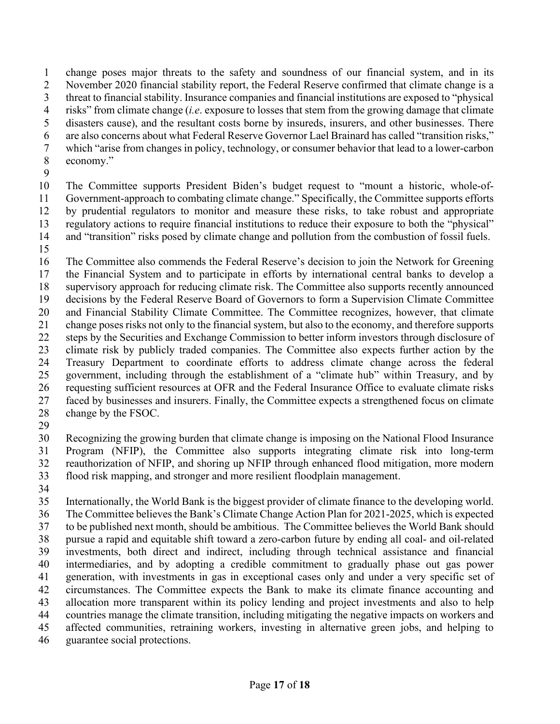change poses major threats to the safety and soundness of our financial system, and in its November 2020 financial stability report, the Federal Reserve confirmed that climate change is a threat to financial stability. Insurance companies and financial institutions are exposed to "physical risks" from climate change (*i.e*. exposure to losses that stem from the growing damage that climate disasters cause), and the resultant costs borne by insureds, insurers, and other businesses. There are also concerns about what Federal Reserve Governor Lael Brainard has called "transition risks," which "arise from changes in policy, technology, or consumer behavior that lead to a lower-carbon economy."

 The Committee supports President Biden's budget request to "mount a historic, whole-of- Government-approach to combating climate change." Specifically, the Committee supports efforts by prudential regulators to monitor and measure these risks, to take robust and appropriate regulatory actions to require financial institutions to reduce their exposure to both the "physical" and "transition" risks posed by climate change and pollution from the combustion of fossil fuels.

 The Committee also commends the Federal Reserve's decision to join the Network for Greening the Financial System and to participate in efforts by international central banks to develop a supervisory approach for reducing climate risk. The Committee also supports recently announced decisions by the Federal Reserve Board of Governors to form a Supervision Climate Committee and Financial Stability Climate Committee. The Committee recognizes, however, that climate change poses risks not only to the financial system, but also to the economy, and therefore supports steps by the Securities and Exchange Commission to better inform investors through disclosure of climate risk by publicly traded companies. The Committee also expects further action by the Treasury Department to coordinate efforts to address climate change across the federal government, including through the establishment of a "climate hub" within Treasury, and by requesting sufficient resources at OFR and the Federal Insurance Office to evaluate climate risks faced by businesses and insurers. Finally, the Committee expects a strengthened focus on climate change by the FSOC.

 Recognizing the growing burden that climate change is imposing on the National Flood Insurance Program (NFIP), the Committee also supports integrating climate risk into long-term reauthorization of NFIP, and shoring up NFIP through enhanced flood mitigation, more modern flood risk mapping, and stronger and more resilient floodplain management.

 Internationally, the World Bank is the biggest provider of climate finance to the developing world. The Committee believes the Bank's Climate Change Action Plan for 2021-2025, which is expected to be published next month, should be ambitious. The Committee believes the World Bank should pursue a rapid and equitable shift toward a zero-carbon future by ending all coal- and oil-related investments, both direct and indirect, including through technical assistance and financial intermediaries, and by adopting a credible commitment to gradually phase out gas power generation, with investments in gas in exceptional cases only and under a very specific set of circumstances. The Committee expects the Bank to make its climate finance accounting and allocation more transparent within its policy lending and project investments and also to help countries manage the climate transition, including mitigating the negative impacts on workers and affected communities, retraining workers, investing in alternative green jobs, and helping to

guarantee social protections.